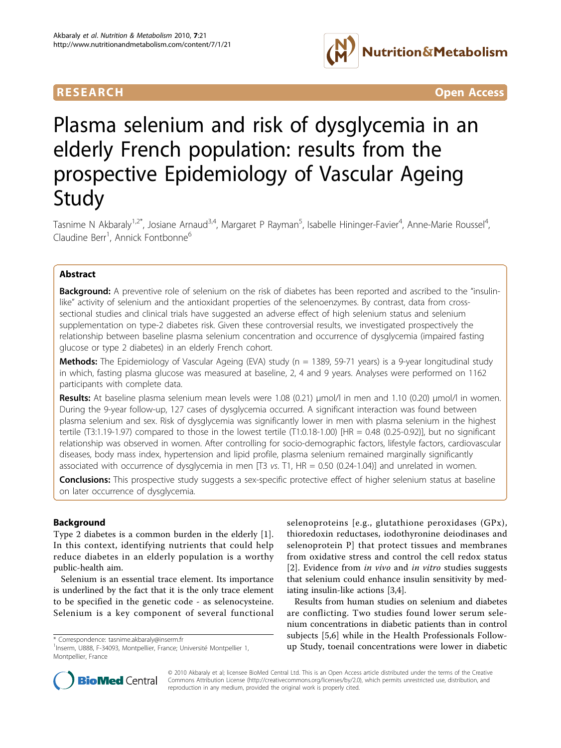

**RESEARCH CONTROL** CONTROL CONTROL CONTROL CONTROL CONTROL CONTROL CONTROL CONTROL CONTROL CONTROL CONTROL CONTROL CONTROL CONTROL CONTROL CONTROL CONTROL CONTROL CONTROL CONTROL CONTROL CONTROL CONTROL CONTROL CONTROL CON

# Plasma selenium and risk of dysglycemia in an elderly French population: results from the prospective Epidemiology of Vascular Ageing Study

Tasnime N Akbaraly<sup>1,2\*</sup>, Josiane Arnaud<sup>3,4</sup>, Margaret P Rayman<sup>5</sup>, Isabelle Hininger-Favier<sup>4</sup>, Anne-Marie Roussel<sup>4</sup> , Claudine Berr<sup>1</sup>, Annick Fontbonne<sup>6</sup>

# Abstract

**Background:** A preventive role of selenium on the risk of diabetes has been reported and ascribed to the "insulinlike" activity of selenium and the antioxidant properties of the selenoenzymes. By contrast, data from crosssectional studies and clinical trials have suggested an adverse effect of high selenium status and selenium supplementation on type-2 diabetes risk. Given these controversial results, we investigated prospectively the relationship between baseline plasma selenium concentration and occurrence of dysglycemia (impaired fasting glucose or type 2 diabetes) in an elderly French cohort.

Methods: The Epidemiology of Vascular Ageing (EVA) study (n = 1389, 59-71 years) is a 9-year longitudinal study in which, fasting plasma glucose was measured at baseline, 2, 4 and 9 years. Analyses were performed on 1162 participants with complete data.

Results: At baseline plasma selenium mean levels were 1.08 (0.21) μmol/l in men and 1.10 (0.20) μmol/l in women. During the 9-year follow-up, 127 cases of dysglycemia occurred. A significant interaction was found between plasma selenium and sex. Risk of dysglycemia was significantly lower in men with plasma selenium in the highest tertile (T3:1.19-1.97) compared to those in the lowest tertile (T1:0.18-1.00) [HR = 0.48 (0.25-0.92)], but no significant relationship was observed in women. After controlling for socio-demographic factors, lifestyle factors, cardiovascular diseases, body mass index, hypertension and lipid profile, plasma selenium remained marginally significantly associated with occurrence of dysglycemia in men  $[T3$  vs. T1, HR = 0.50 (0.24-1.04)] and unrelated in women.

**Conclusions:** This prospective study suggests a sex-specific protective effect of higher selenium status at baseline on later occurrence of dysglycemia.

# Background

Type 2 diabetes is a common burden in the elderly [\[1](#page-5-0)]. In this context, identifying nutrients that could help reduce diabetes in an elderly population is a worthy public-health aim.

Selenium is an essential trace element. Its importance is underlined by the fact that it is the only trace element to be specified in the genetic code - as selenocysteine. Selenium is a key component of several functional selenoproteins [e.g., glutathione peroxidases (GPx), thioredoxin reductases, iodothyronine deiodinases and selenoprotein P] that protect tissues and membranes from oxidative stress and control the cell redox status [[2](#page-5-0)]. Evidence from *in vivo* and *in vitro* studies suggests that selenium could enhance insulin sensitivity by mediating insulin-like actions [\[3,4](#page-5-0)].

Results from human studies on selenium and diabetes are conflicting. Two studies found lower serum selenium concentrations in diabetic patients than in control subjects [[5,6](#page-5-0)] while in the Health Professionals Followorrespondence: [tasnime.akbaraly@inserm.fr](mailto:tasnime.akbaraly@inserm.fr) eniversité Montpellier 1, subjects [5,0] willie in the ricalin riblessionals ronow-<br>Inserm, U888, F-34093, Montpellier, France; Université Montpellier 1, **up Study, toenail concent** 



© 2010 Akbaraly et al; licensee BioMed Central Ltd. This is an Open Access article distributed under the terms of the Creative Commons Attribution License [\(http://creativecommons.org/licenses/by/2.0](http://creativecommons.org/licenses/by/2.0)), which permits unrestricted use, distribution, and reproduction in any medium, provided the original work is properly cited.

<sup>&</sup>lt;sup>1</sup>Inserm, U888, F-34093, Montpellier, France; Université Montpellier 1, Montpellier, France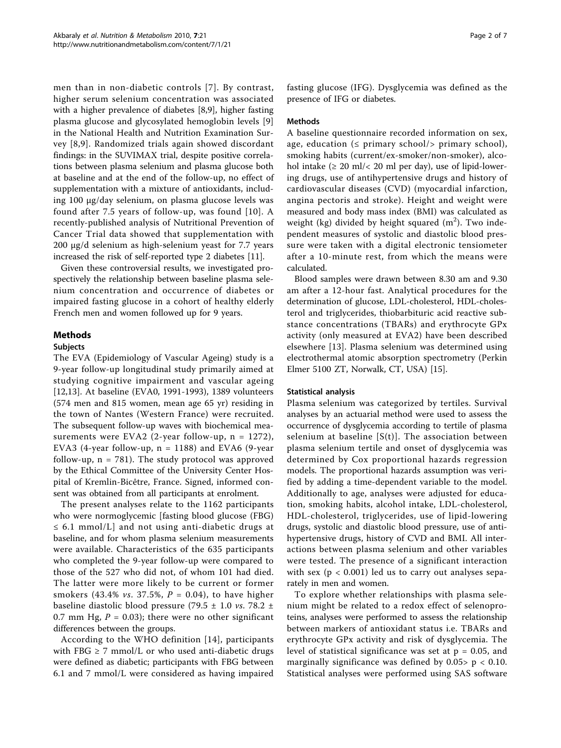men than in non-diabetic controls [[7\]](#page-5-0). By contrast, higher serum selenium concentration was associated with a higher prevalence of diabetes [\[8](#page-5-0)[,9](#page-6-0)], higher fasting plasma glucose and glycosylated hemoglobin levels [\[9](#page-6-0)] in the National Health and Nutrition Examination Survey [[8](#page-5-0)[,9\]](#page-6-0). Randomized trials again showed discordant findings: in the SUVIMAX trial, despite positive correlations between plasma selenium and plasma glucose both at baseline and at the end of the follow-up, no effect of supplementation with a mixture of antioxidants, including 100 μg/day selenium, on plasma glucose levels was found after 7.5 years of follow-up, was found [[10](#page-6-0)]. A recently-published analysis of Nutritional Prevention of Cancer Trial data showed that supplementation with 200 μg/d selenium as high-selenium yeast for 7.7 years increased the risk of self-reported type 2 diabetes [\[11\]](#page-6-0).

Given these controversial results, we investigated prospectively the relationship between baseline plasma selenium concentration and occurrence of diabetes or impaired fasting glucose in a cohort of healthy elderly French men and women followed up for 9 years.

# Methods

## **Subjects**

The EVA (Epidemiology of Vascular Ageing) study is a 9-year follow-up longitudinal study primarily aimed at studying cognitive impairment and vascular ageing [[12,13\]](#page-6-0). At baseline (EVA0, 1991-1993), 1389 volunteers (574 men and 815 women, mean age 65 yr) residing in the town of Nantes (Western France) were recruited. The subsequent follow-up waves with biochemical measurements were EVA2 (2-year follow-up,  $n = 1272$ ), EVA3 (4-year follow-up,  $n = 1188$ ) and EVA6 (9-year follow-up,  $n = 781$ ). The study protocol was approved by the Ethical Committee of the University Center Hospital of Kremlin-Bicêtre, France. Signed, informed consent was obtained from all participants at enrolment.

The present analyses relate to the 1162 participants who were normoglycemic [fasting blood glucose (FBG)  $\leq$  6.1 mmol/L] and not using anti-diabetic drugs at baseline, and for whom plasma selenium measurements were available. Characteristics of the 635 participants who completed the 9-year follow-up were compared to those of the 527 who did not, of whom 101 had died. The latter were more likely to be current or former smokers (43.4% *vs.* 37.5%,  $P = 0.04$ ), to have higher baseline diastolic blood pressure (79.5  $\pm$  1.0 *vs.* 78.2  $\pm$ 0.7 mm Hg,  $P = 0.03$ ; there were no other significant differences between the groups.

According to the WHO definition [\[14\]](#page-6-0), participants with FBG  $\geq$  7 mmol/L or who used anti-diabetic drugs were defined as diabetic; participants with FBG between 6.1 and 7 mmol/L were considered as having impaired fasting glucose (IFG). Dysglycemia was defined as the presence of IFG or diabetes.

# Methods

A baseline questionnaire recorded information on sex, age, education ( $\leq$  primary school/ $>$  primary school), smoking habits (current/ex-smoker/non-smoker), alcohol intake  $(\geq 20 \text{ ml}/\leq 20 \text{ ml}$  per day), use of lipid-lowering drugs, use of antihypertensive drugs and history of cardiovascular diseases (CVD) (myocardial infarction, angina pectoris and stroke). Height and weight were measured and body mass index (BMI) was calculated as weight (kg) divided by height squared  $(m^2)$ . Two independent measures of systolic and diastolic blood pressure were taken with a digital electronic tensiometer after a 10-minute rest, from which the means were calculated.

Blood samples were drawn between 8.30 am and 9.30 am after a 12-hour fast. Analytical procedures for the determination of glucose, LDL-cholesterol, HDL-cholesterol and triglycerides, thiobarbituric acid reactive substance concentrations (TBARs) and erythrocyte GPx activity (only measured at EVA2) have been described elsewhere [[13\]](#page-6-0). Plasma selenium was determined using electrothermal atomic absorption spectrometry (Perkin Elmer 5100 ZT, Norwalk, CT, USA) [\[15\]](#page-6-0).

# Statistical analysis

Plasma selenium was categorized by tertiles. Survival analyses by an actuarial method were used to assess the occurrence of dysglycemia according to tertile of plasma selenium at baseline  $[S(t)]$ . The association between plasma selenium tertile and onset of dysglycemia was determined by Cox proportional hazards regression models. The proportional hazards assumption was verified by adding a time-dependent variable to the model. Additionally to age, analyses were adjusted for education, smoking habits, alcohol intake, LDL-cholesterol, HDL-cholesterol, triglycerides, use of lipid-lowering drugs, systolic and diastolic blood pressure, use of antihypertensive drugs, history of CVD and BMI. All interactions between plasma selenium and other variables were tested. The presence of a significant interaction with sex  $(p < 0.001)$  led us to carry out analyses separately in men and women.

To explore whether relationships with plasma selenium might be related to a redox effect of selenoproteins, analyses were performed to assess the relationship between markers of antioxidant status i.e. TBARs and erythrocyte GPx activity and risk of dysglycemia. The level of statistical significance was set at  $p = 0.05$ , and marginally significance was defined by  $0.05$  p < 0.10. Statistical analyses were performed using SAS software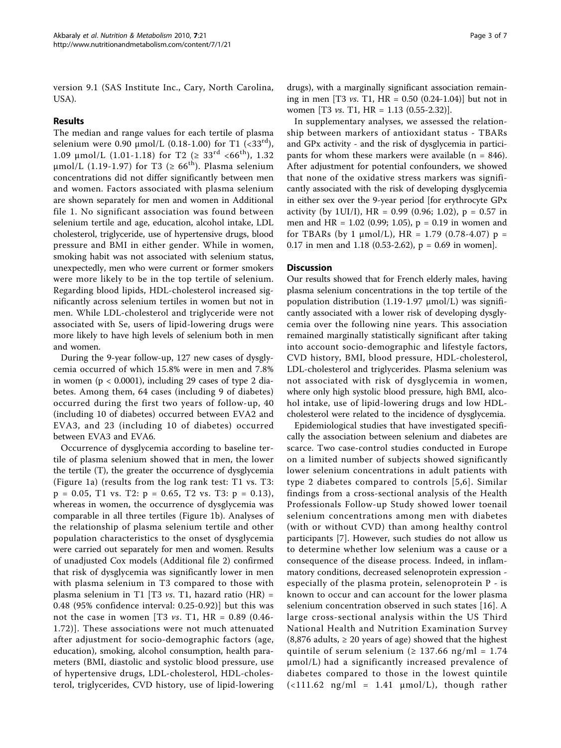version 9.1 (SAS Institute Inc., Cary, North Carolina, USA).

# Results

The median and range values for each tertile of plasma selenium were 0.90  $\mu$ mol/L (0.18-1.00) for T1 (<33<sup>rd</sup>), 1.09  $\mu$ mol/L (1.01-1.18) for T2 ( $\geq 33^{rd}$  <66<sup>th</sup>), 1.32 μmol/L (1.19-1.97) for T3 ( $\geq 66$ <sup>th</sup>). Plasma selenium concentrations did not differ significantly between men and women. Factors associated with plasma selenium are shown separately for men and women in Additional file 1. No significant association was found between selenium tertile and age, education, alcohol intake, LDL cholesterol, triglyceride, use of hypertensive drugs, blood pressure and BMI in either gender. While in women, smoking habit was not associated with selenium status, unexpectedly, men who were current or former smokers were more likely to be in the top tertile of selenium. Regarding blood lipids, HDL-cholesterol increased significantly across selenium tertiles in women but not in men. While LDL-cholesterol and triglyceride were not associated with Se, users of lipid-lowering drugs were more likely to have high levels of selenium both in men and women.

During the 9-year follow-up, 127 new cases of dysglycemia occurred of which 15.8% were in men and 7.8% in women ( $p < 0.0001$ ), including 29 cases of type 2 diabetes. Among them, 64 cases (including 9 of diabetes) occurred during the first two years of follow-up, 40 (including 10 of diabetes) occurred between EVA2 and EVA3, and 23 (including 10 of diabetes) occurred between EVA3 and EVA6.

Occurrence of dysglycemia according to baseline tertile of plasma selenium showed that in men, the lower the tertile (T), the greater the occurrence of dysglycemia (Figure [1a\)](#page-3-0) (results from the log rank test: T1 vs. T3:  $p = 0.05$ , T1 vs. T2:  $p = 0.65$ , T2 vs. T3:  $p = 0.13$ ), whereas in women, the occurrence of dysglycemia was comparable in all three tertiles (Figure [1b\)](#page-3-0). Analyses of the relationship of plasma selenium tertile and other population characteristics to the onset of dysglycemia were carried out separately for men and women. Results of unadjusted Cox models (Additional file 2) confirmed that risk of dysglycemia was significantly lower in men with plasma selenium in T3 compared to those with plasma selenium in T1 [T3  $vs.$  T1, hazard ratio (HR) = 0.48 (95% confidence interval: 0.25-0.92)] but this was not the case in women [T3 *vs.* T1, HR =  $0.89$  (0.46-1.72)]. These associations were not much attenuated after adjustment for socio-demographic factors (age, education), smoking, alcohol consumption, health parameters (BMI, diastolic and systolic blood pressure, use of hypertensive drugs, LDL-cholesterol, HDL-cholesterol, triglycerides, CVD history, use of lipid-lowering

drugs), with a marginally significant association remaining in men [T3 *vs.* T1, HR =  $0.50$  (0.24-1.04)] but not in women [T3 vs. T1, HR = 1.13 (0.55-2.32)].

In supplementary analyses, we assessed the relationship between markers of antioxidant status - TBARs and GPx activity - and the risk of dysglycemia in participants for whom these markers were available ( $n = 846$ ). After adjustment for potential confounders, we showed that none of the oxidative stress markers was significantly associated with the risk of developing dysglycemia in either sex over the 9-year period [for erythrocyte GPx activity (by 1UI/I),  $HR = 0.99$  (0.96; 1.02),  $p = 0.57$  in men and HR =  $1.02$  (0.99; 1.05), p = 0.19 in women and for TBARs (by 1  $\mu$ mol/L), HR = 1.79 (0.78-4.07) p = 0.17 in men and 1.18 (0.53-2.62),  $p = 0.69$  in women].

# **Discussion**

Our results showed that for French elderly males, having plasma selenium concentrations in the top tertile of the population distribution (1.19-1.97 μmol/L) was significantly associated with a lower risk of developing dysglycemia over the following nine years. This association remained marginally statistically significant after taking into account socio-demographic and lifestyle factors, CVD history, BMI, blood pressure, HDL-cholesterol, LDL-cholesterol and triglycerides. Plasma selenium was not associated with risk of dysglycemia in women, where only high systolic blood pressure, high BMI, alcohol intake, use of lipid-lowering drugs and low HDLcholesterol were related to the incidence of dysglycemia.

Epidemiological studies that have investigated specifically the association between selenium and diabetes are scarce. Two case-control studies conducted in Europe on a limited number of subjects showed significantly lower selenium concentrations in adult patients with type 2 diabetes compared to controls [[5,6\]](#page-5-0). Similar findings from a cross-sectional analysis of the Health Professionals Follow-up Study showed lower toenail selenium concentrations among men with diabetes (with or without CVD) than among healthy control participants [[7\]](#page-5-0). However, such studies do not allow us to determine whether low selenium was a cause or a consequence of the disease process. Indeed, in inflammatory conditions, decreased selenoprotein expression especially of the plasma protein, selenoprotein P - is known to occur and can account for the lower plasma selenium concentration observed in such states [[16\]](#page-6-0). A large cross-sectional analysis within the US Third National Health and Nutrition Examination Survey  $(8,876$  adults,  $\geq 20$  years of age) showed that the highest quintile of serum selenium ( $\geq$  137.66 ng/ml = 1.74 μmol/L) had a significantly increased prevalence of diabetes compared to those in the lowest quintile  $\left(\frac{111.62 \text{ ng/ml}}{2} - 1.41 \text{ \mu}$  mol/L), though rather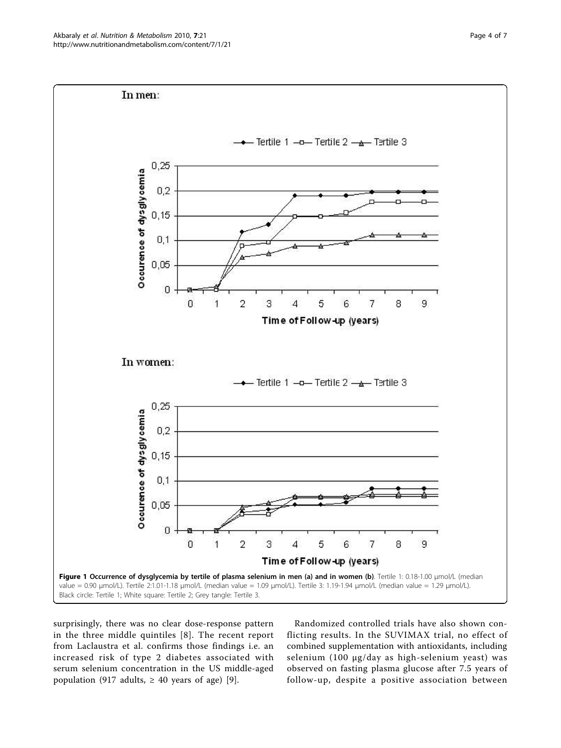<span id="page-3-0"></span>

surprisingly, there was no clear dose-response pattern in the three middle quintiles [[8](#page-5-0)]. The recent report from Laclaustra et al. confirms those findings i.e. an increased risk of type 2 diabetes associated with serum selenium concentration in the US middle-aged population (917 adults,  $\geq$  40 years of age) [\[9](#page-6-0)].

Randomized controlled trials have also shown conflicting results. In the SUVIMAX trial, no effect of combined supplementation with antioxidants, including selenium (100 μg/day as high-selenium yeast) was observed on fasting plasma glucose after 7.5 years of follow-up, despite a positive association between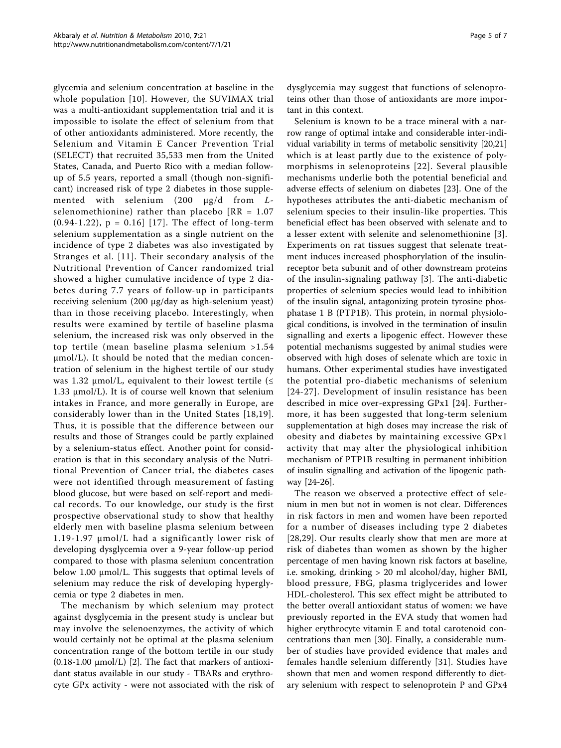glycemia and selenium concentration at baseline in the whole population [[10\]](#page-6-0). However, the SUVIMAX trial was a multi-antioxidant supplementation trial and it is impossible to isolate the effect of selenium from that of other antioxidants administered. More recently, the Selenium and Vitamin E Cancer Prevention Trial (SELECT) that recruited 35,533 men from the United States, Canada, and Puerto Rico with a median followup of 5.5 years, reported a small (though non-significant) increased risk of type 2 diabetes in those supplemented with selenium (200 μg/d from Lselenomethionine) rather than placebo  $[RR = 1.07]$  $(0.94-1.22)$ ,  $p = 0.16$  [[17\]](#page-6-0). The effect of long-term selenium supplementation as a single nutrient on the incidence of type 2 diabetes was also investigated by Stranges et al. [[11](#page-6-0)]. Their secondary analysis of the Nutritional Prevention of Cancer randomized trial showed a higher cumulative incidence of type 2 diabetes during 7.7 years of follow-up in participants receiving selenium (200 μg/day as high-selenium yeast) than in those receiving placebo. Interestingly, when results were examined by tertile of baseline plasma selenium, the increased risk was only observed in the top tertile (mean baseline plasma selenium >1.54 μmol/L). It should be noted that the median concentration of selenium in the highest tertile of our study was 1.32 μmol/L, equivalent to their lowest tertile ( $≤$ 1.33 μmol/L). It is of course well known that selenium intakes in France, and more generally in Europe, are considerably lower than in the United States [[18](#page-6-0),[19\]](#page-6-0). Thus, it is possible that the difference between our results and those of Stranges could be partly explained by a selenium-status effect. Another point for consideration is that in this secondary analysis of the Nutritional Prevention of Cancer trial, the diabetes cases were not identified through measurement of fasting blood glucose, but were based on self-report and medical records. To our knowledge, our study is the first prospective observational study to show that healthy elderly men with baseline plasma selenium between 1.19-1.97 μmol/L had a significantly lower risk of developing dysglycemia over a 9-year follow-up period compared to those with plasma selenium concentration below 1.00 μmol/L. This suggests that optimal levels of selenium may reduce the risk of developing hyperglycemia or type 2 diabetes in men.

The mechanism by which selenium may protect against dysglycemia in the present study is unclear but may involve the selenoenzymes, the activity of which would certainly not be optimal at the plasma selenium concentration range of the bottom tertile in our study  $(0.18-1.00 \mu \text{mol/L})$  [[2](#page-5-0)]. The fact that markers of antioxidant status available in our study - TBARs and erythrocyte GPx activity - were not associated with the risk of dysglycemia may suggest that functions of selenoproteins other than those of antioxidants are more important in this context.

Selenium is known to be a trace mineral with a narrow range of optimal intake and considerable inter-individual variability in terms of metabolic sensitivity [[20,21](#page-6-0)] which is at least partly due to the existence of polymorphisms in selenoproteins [[22\]](#page-6-0). Several plausible mechanisms underlie both the potential beneficial and adverse effects of selenium on diabetes [\[23](#page-6-0)]. One of the hypotheses attributes the anti-diabetic mechanism of selenium species to their insulin-like properties. This beneficial effect has been observed with selenate and to a lesser extent with selenite and selenomethionine [[3](#page-5-0)]. Experiments on rat tissues suggest that selenate treatment induces increased phosphorylation of the insulinreceptor beta subunit and of other downstream proteins of the insulin-signaling pathway [\[3](#page-5-0)]. The anti-diabetic properties of selenium species would lead to inhibition of the insulin signal, antagonizing protein tyrosine phosphatase 1 B (PTP1B). This protein, in normal physiological conditions, is involved in the termination of insulin signalling and exerts a lipogenic effect. However these potential mechanisms suggested by animal studies were observed with high doses of selenate which are toxic in humans. Other experimental studies have investigated the potential pro-diabetic mechanisms of selenium [[24-27](#page-6-0)]. Development of insulin resistance has been described in mice over-expressing GPx1 [[24](#page-6-0)]. Furthermore, it has been suggested that long-term selenium supplementation at high doses may increase the risk of obesity and diabetes by maintaining excessive GPx1 activity that may alter the physiological inhibition mechanism of PTP1B resulting in permanent inhibition of insulin signalling and activation of the lipogenic pathway [[24](#page-6-0)-[26\]](#page-6-0).

The reason we observed a protective effect of selenium in men but not in women is not clear. Differences in risk factors in men and women have been reported for a number of diseases including type 2 diabetes [[28,29\]](#page-6-0). Our results clearly show that men are more at risk of diabetes than women as shown by the higher percentage of men having known risk factors at baseline, i.e. smoking, drinking > 20 ml alcohol/day, higher BMI, blood pressure, FBG, plasma triglycerides and lower HDL-cholesterol. This sex effect might be attributed to the better overall antioxidant status of women: we have previously reported in the EVA study that women had higher erythrocyte vitamin E and total carotenoid concentrations than men [[30\]](#page-6-0). Finally, a considerable number of studies have provided evidence that males and females handle selenium differently [\[31\]](#page-6-0). Studies have shown that men and women respond differently to dietary selenium with respect to selenoprotein P and GPx4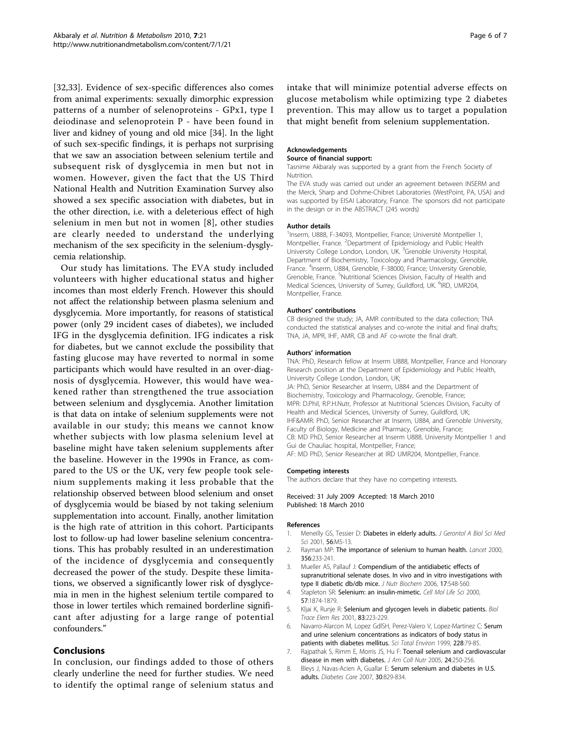<span id="page-5-0"></span>[[32,33](#page-6-0)]. Evidence of sex-specific differences also comes from animal experiments: sexually dimorphic expression patterns of a number of selenoproteins - GPx1, type I deiodinase and selenoprotein P - have been found in liver and kidney of young and old mice [[34\]](#page-6-0). In the light of such sex-specific findings, it is perhaps not surprising that we saw an association between selenium tertile and subsequent risk of dysglycemia in men but not in women. However, given the fact that the US Third National Health and Nutrition Examination Survey also showed a sex specific association with diabetes, but in the other direction, i.e. with a deleterious effect of high selenium in men but not in women [8], other studies are clearly needed to understand the underlying mechanism of the sex specificity in the selenium-dysglycemia relationship.

Our study has limitations. The EVA study included volunteers with higher educational status and higher incomes than most elderly French. However this should not affect the relationship between plasma selenium and dysglycemia. More importantly, for reasons of statistical power (only 29 incident cases of diabetes), we included IFG in the dysglycemia definition. IFG indicates a risk for diabetes, but we cannot exclude the possibility that fasting glucose may have reverted to normal in some participants which would have resulted in an over-diagnosis of dysglycemia. However, this would have weakened rather than strengthened the true association between selenium and dysglycemia. Another limitation is that data on intake of selenium supplements were not available in our study; this means we cannot know whether subjects with low plasma selenium level at baseline might have taken selenium supplements after the baseline. However in the 1990s in France, as compared to the US or the UK, very few people took selenium supplements making it less probable that the relationship observed between blood selenium and onset of dysglycemia would be biased by not taking selenium supplementation into account. Finally, another limitation is the high rate of attrition in this cohort. Participants lost to follow-up had lower baseline selenium concentrations. This has probably resulted in an underestimation of the incidence of dysglycemia and consequently decreased the power of the study. Despite these limitations, we observed a significantly lower risk of dysglycemia in men in the highest selenium tertile compared to those in lower tertiles which remained borderline significant after adjusting for a large range of potential confounders."

# Conclusions

In conclusion, our findings added to those of others clearly underline the need for further studies. We need to identify the optimal range of selenium status and intake that will minimize potential adverse effects on glucose metabolism while optimizing type 2 diabetes prevention. This may allow us to target a population that might benefit from selenium supplementation.

### Acknowledgements

#### Source of financial support:

Tasnime Akbaraly was supported by a grant from the French Society of Nutrition.

The EVA study was carried out under an agreement between INSERM and the Merck, Sharp and Dohme-Chibret Laboratories (WestPoint, PA, USA) and was supported by EISAI Laboratory, France. The sponsors did not participate in the design or in the ABSTRACT (245 words)

#### Author details

<sup>1</sup> Inserm, U888, F-34093, Montpellier, France; Université Montpellier 1 Montpellier, France. <sup>2</sup>Department of Epidemiology and Public Health University College London, London, UK.<sup>3</sup> Grenoble University Hospital Department of Biochemistry, Toxicology and Pharmacology, Grenoble, France. <sup>4</sup>Inserm, U884, Grenoble, F-38000, France; University Grenoble, Grenoble, France. <sup>5</sup>Nutritional Sciences Division, Faculty of Health and Medical Sciences, University of Surrey, Guildford, UK. <sup>6</sup>IRD, UMR204 Montpellier, France.

#### Authors' contributions

CB designed the study; JA, AMR contributed to the data collection; TNA conducted the statistical analyses and co-wrote the initial and final drafts; TNA, JA, MPR, IHF, AMR, CB and AF co-wrote the final draft.

#### Authors' information

TNA: PhD, Research fellow at Inserm U888, Montpellier, France and Honorary Research position at the Department of Epidemiology and Public Health, University College London, London, UK;

JA: PhD, Senior Researcher at Inserm, U884 and the Department of Biochemistry, Toxicology and Pharmacology, Grenoble, France; MPR: D.Phil, R.P.H.Nutr, Professor at Nutritional Sciences Division, Faculty of Health and Medical Sciences, University of Surrey, Guildford, UK; IHF&AMR: PhD, Senior Researcher at Inserm, U884, and Grenoble University, Faculty of Biology, Medicine and Pharmacy, Grenoble, France; CB: MD PhD, Senior Researcher at Inserm U888, University Montpellier 1 and Gui de Chauliac hospital, Montpellier, France; AF: MD PhD, Senior Researcher at IRD UMR204, Montpellier, France.

#### Competing interests

The authors declare that they have no competing interests.

### Received: 31 July 2009 Accepted: 18 March 2010 Published: 18 March 2010

#### References

- Meneilly GS, Tessier D: [Diabetes in elderly adults.](http://www.ncbi.nlm.nih.gov/pubmed/11193234?dopt=Abstract) J Gerontol A Biol Sci Med Sci 2001, 56:M5-13.
- 2. Rayman MP: [The importance of selenium to human health.](http://www.ncbi.nlm.nih.gov/pubmed/10963212?dopt=Abstract) Lancet 2000, 356:233-241.
- 3. Mueller AS, Pallauf J: [Compendium of the antidiabetic effects of](http://www.ncbi.nlm.nih.gov/pubmed/16443359?dopt=Abstract) [supranutritional selenate doses. In vivo and in vitro investigations with](http://www.ncbi.nlm.nih.gov/pubmed/16443359?dopt=Abstract) [type II diabetic db/db mice.](http://www.ncbi.nlm.nih.gov/pubmed/16443359?dopt=Abstract) J Nutr Biochem 2006, 17:548-560.
- Stapleton SR: [Selenium: an insulin-mimetic.](http://www.ncbi.nlm.nih.gov/pubmed/11215514?dopt=Abstract) Cell Mol Life Sci 2000, 57:1874-1879.
- 5. Kljai K, Runje R: [Selenium and glycogen levels in diabetic patients.](http://www.ncbi.nlm.nih.gov/pubmed/11794514?dopt=Abstract) Biol Trace Elem Res 2001, 83:223-229.
- 6. Navarro-Alarcon M, Lopez GdlSH, Perez-Valero V, Lopez-Martinez C: [Serum](http://www.ncbi.nlm.nih.gov/pubmed/10343415?dopt=Abstract) [and urine selenium concentrations as indicators of body status in](http://www.ncbi.nlm.nih.gov/pubmed/10343415?dopt=Abstract) [patients with diabetes mellitus.](http://www.ncbi.nlm.nih.gov/pubmed/10343415?dopt=Abstract) Sci Total Environ 1999, 228:79-85.
- 7. Rajpathak S, Rimm E, Morris JS, Hu F: [Toenail selenium and cardiovascular](http://www.ncbi.nlm.nih.gov/pubmed/16093402?dopt=Abstract) [disease in men with diabetes.](http://www.ncbi.nlm.nih.gov/pubmed/16093402?dopt=Abstract) J Am Coll Nutr 2005, 24:250-256.
- 8. Bleys J, Navas-Acien A, Guallar E: [Serum selenium and diabetes in U.S.](http://www.ncbi.nlm.nih.gov/pubmed/17392543?dopt=Abstract) [adults.](http://www.ncbi.nlm.nih.gov/pubmed/17392543?dopt=Abstract) Diabetes Care 2007, 30:829-834.